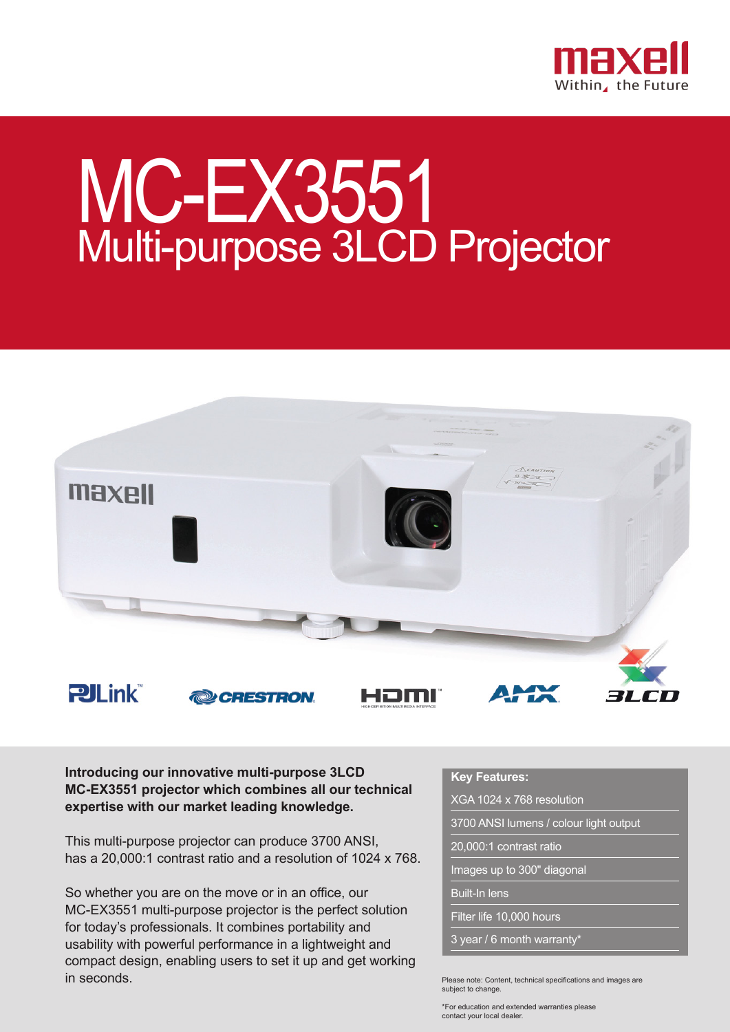

## MC-EX3551 Multi-purpose 3LCD Projector



**Introducing our innovative multi-purpose 3LCD MC-EX3551 projector which combines all our technical expertise with our market leading knowledge.**

This multi-purpose projector can produce 3700 ANSI, has a 20,000:1 contrast ratio and a resolution of 1024 x 768.

So whether you are on the move or in an office, our MC-EX3551 multi-purpose projector is the perfect solution for today's professionals. It combines portability and usability with powerful performance in a lightweight and compact design, enabling users to set it up and get working in seconds.

## **Key Features:**

XGA 1024 x 768 resolution

3700 ANSI lumens / colour light output

20,000:1 contrast ratio

Images up to 300" diagonal

Built-In lens

Filter life 10,000 hours

3 year / 6 month warranty\*

Please note: Content, technical specifications and images are subject to change.

\*For education and extended warranties please contact your local dealer.